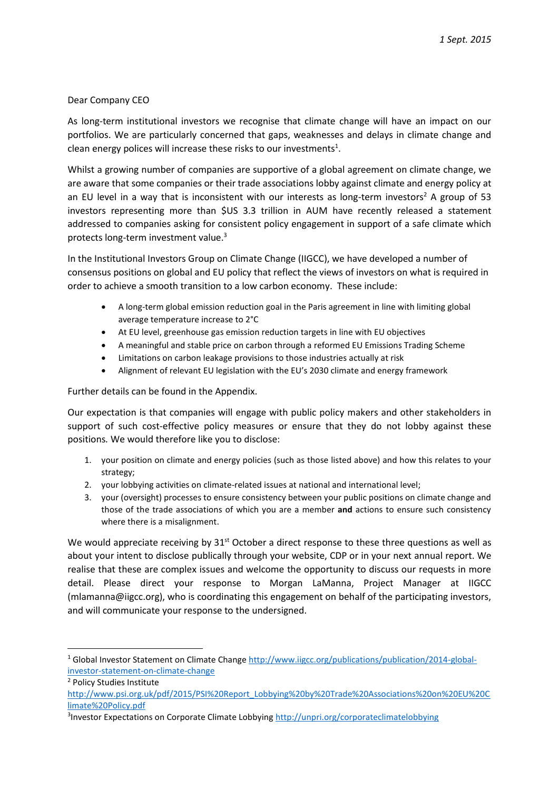# Dear Company CEO

As long-term institutional investors we recognise that climate change will have an impact on our portfolios. We are particularly concerned that gaps, weaknesses and delays in climate change and clean energy polices will increase these risks to our investments<sup>1</sup>.

Whilst a growing number of companies are supportive of a global agreement on climate change, we are aware that some companies or their trade associations lobby against climate and energy policy at an EU level in a way that is inconsistent with our interests as long-term investors<sup>2</sup> A group of 53 investors representing more than \$US 3.3 trillion in AUM have recently released a statement addressed to companies asking for consistent policy engagement in support of a safe climate which protects long-term investment value.<sup>3</sup>

In the Institutional Investors Group on Climate Change (IIGCC), we have developed a number of consensus positions on global and EU policy that reflect the views of investors on what is required in order to achieve a smooth transition to a low carbon economy. These include:

- A long-term global emission reduction goal in the Paris agreement in line with limiting global average temperature increase to 2°C
- At EU level, greenhouse gas emission reduction targets in line with EU objectives
- A meaningful and stable price on carbon through a reformed EU Emissions Trading Scheme
- Limitations on carbon leakage provisions to those industries actually at risk
- Alignment of relevant EU legislation with the EU's 2030 climate and energy framework

Further details can be found in the Appendix.

Our expectation is that companies will engage with public policy makers and other stakeholders in support of such cost-effective policy measures or ensure that they do not lobby against these positions*.* We would therefore like you to disclose:

- 1. your position on climate and energy policies (such as those listed above) and how this relates to your strategy;
- 2. your lobbying activities on climate-related issues at national and international level;
- 3. your (oversight) processes to ensure consistency between your public positions on climate change and those of the trade associations of which you are a member **and** actions to ensure such consistency where there is a misalignment.

We would appreciate receiving by  $31<sup>st</sup>$  October a direct response to these three questions as well as about your intent to disclose publically through your website, CDP or in your next annual report. We realise that these are complex issues and welcome the opportunity to discuss our requests in more detail. Please direct your response to Morgan LaManna, Project Manager at IIGCC (mlamanna@iigcc.org), who is coordinating this engagement on behalf of the participating investors, and will communicate your response to the undersigned.

<sup>2</sup> Policy Studies Institute

**.** 

<sup>&</sup>lt;sup>1</sup> Global Investor Statement on Climate Change [http://www.iigcc.org/publications/publication/2014-global](http://www.iigcc.org/publications/publication/2014-global-investor-statement-on-climate-change)[investor-statement-on-climate-change](http://www.iigcc.org/publications/publication/2014-global-investor-statement-on-climate-change)

[http://www.psi.org.uk/pdf/2015/PSI%20Report\\_Lobbying%20by%20Trade%20Associations%20on%20EU%20C](http://www.psi.org.uk/pdf/2015/PSI%20Report_Lobbying%20by%20Trade%20Associations%20on%20EU%20Climate%20Policy.pdf) [limate%20Policy.pdf](http://www.psi.org.uk/pdf/2015/PSI%20Report_Lobbying%20by%20Trade%20Associations%20on%20EU%20Climate%20Policy.pdf)

<sup>&</sup>lt;sup>3</sup>Investor Expectations on Corporate Climate Lobbyin[g http://unpri.org/corporateclimatelobbying](http://unpri.org/corporateclimatelobbying)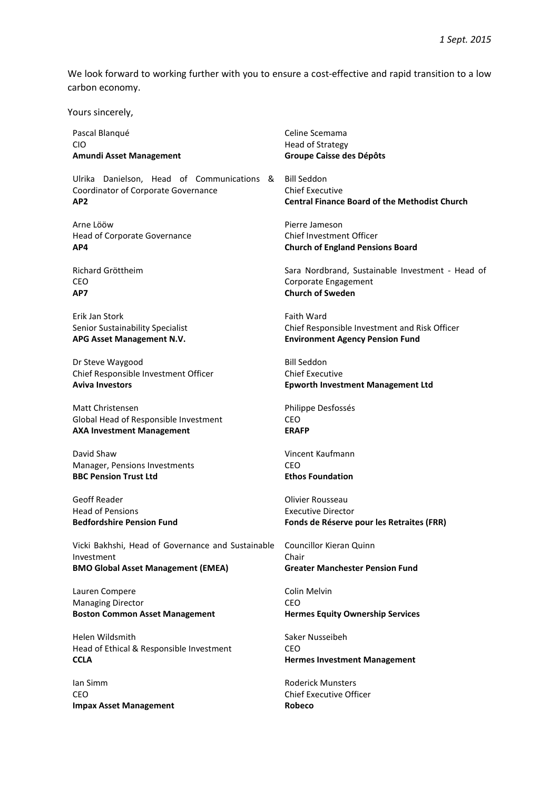We look forward to working further with you to ensure a cost-effective and rapid transition to a low carbon economy.

Yours sincerely,

Pascal Blanqué CIO **Amundi Asset Management**

Ulrika Danielson, Head of Communications & Bill Seddon Coordinator of Corporate Governance **AP2**

Arne Lööw Head of Corporate Governance **AP4**

Richard Gröttheim CEO **AP7**

Erik Jan Stork Senior Sustainability Specialist **APG Asset Management N.V.**

Dr Steve Waygood Chief Responsible Investment Officer **Aviva Investors**

Matt Christensen Global Head of Responsible Investment **AXA Investment Management**

David Shaw Manager, Pensions Investments **BBC Pension Trust Ltd**

Geoff Reader Head of Pensions **Bedfordshire Pension Fund**

Vicki Bakhshi, Head of Governance and Sustainable Investment **BMO Global Asset Management (EMEA)**

Lauren Compere Managing Director **Boston Common Asset Management**

Helen Wildsmith Head of Ethical & Responsible Investment **CCLA**

Ian Simm **CEO Impax Asset Management** Celine Scemama Head of Strategy **Groupe Caisse des Dépôts** 

Chief Executive **Central Finance Board of the Methodist Church**

Pierre Jameson Chief Investment Officer **Church of England Pensions Board**

Sara Nordbrand, Sustainable Investment - Head of Corporate Engagement **Church of Sweden**

Faith Ward Chief Responsible Investment and Risk Officer **Environment Agency Pension Fund**

Bill Seddon Chief Executive **Epworth Investment Management Ltd**

Philippe Desfossés CEO **ERAFP**

Vincent Kaufmann CEO **Ethos Foundation**

Olivier Rousseau Executive Director **Fonds de Réserve pour les Retraites (FRR)**

Councillor Kieran Quinn Chair **Greater Manchester Pension Fund**

Colin Melvin CEO **Hermes Equity Ownership Services**

Saker Nusseibeh CEO **Hermes Investment Management**

Roderick Munsters Chief Executive Officer **Robeco**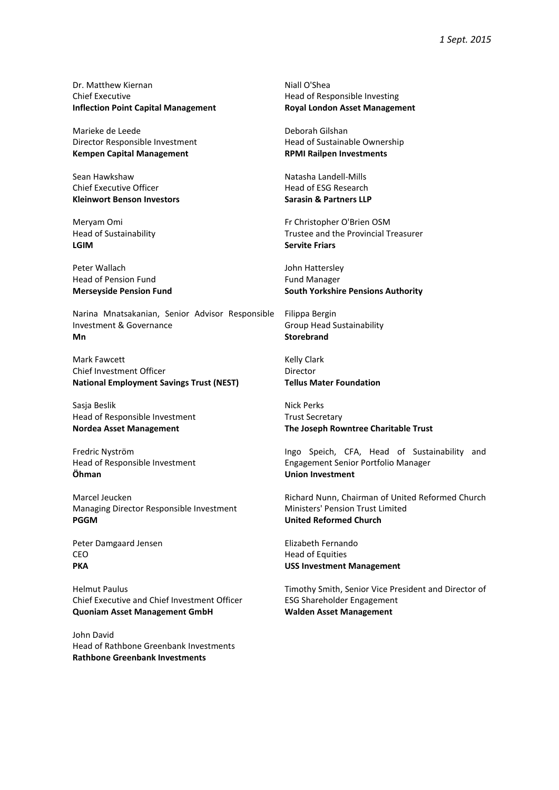Dr. Matthew Kiernan Chief Executive **Inflection Point Capital Management**

Marieke de Leede Director Responsible Investment **Kempen Capital Management**

Sean Hawkshaw Chief Executive Officer **Kleinwort Benson Investors**

Meryam Omi Head of Sustainability **LGIM**

Peter Wallach Head of Pension Fund **Merseyside Pension Fund**

Narina Mnatsakanian, Senior Advisor Responsible Investment & Governance **Mn** 

Mark Fawcett Chief Investment Officer **National Employment Savings Trust (NEST)**

Sasja Beslik Head of Responsible Investment **Nordea Asset Management**

Fredric Nyström Head of Responsible Investment **Öhman**

Marcel Jeucken Managing Director Responsible Investment **PGGM**

Peter Damgaard Jensen CEO **PKA**

Helmut Paulus Chief Executive and Chief Investment Officer **Quoniam Asset Management GmbH**

John David Head of Rathbone Greenbank Investments **Rathbone Greenbank Investments**

Niall O'Shea Head of Responsible Investing **Royal London Asset Management**

Deborah Gilshan Head of Sustainable Ownership **RPMI Railpen Investments**

Natasha Landell-Mills Head of ESG Research **Sarasin & Partners LLP**

Fr Christopher O'Brien OSM Trustee and the Provincial Treasurer **Servite Friars**

John Hattersley Fund Manager **South Yorkshire Pensions Authority**

Filippa Bergin Group Head Sustainability **Storebrand**

Kelly Clark Director **Tellus Mater Foundation**

Nick Perks Trust Secretary **The Joseph Rowntree Charitable Trust**

Ingo Speich, CFA, Head of Sustainability and Engagement Senior Portfolio Manager **Union Investment**

Richard Nunn, Chairman of United Reformed Church Ministers' Pension Trust Limited **United Reformed Church**

Elizabeth Fernando Head of Equities **USS Investment Management**

Timothy Smith, Senior Vice President and Director of ESG Shareholder Engagement **Walden Asset Management**